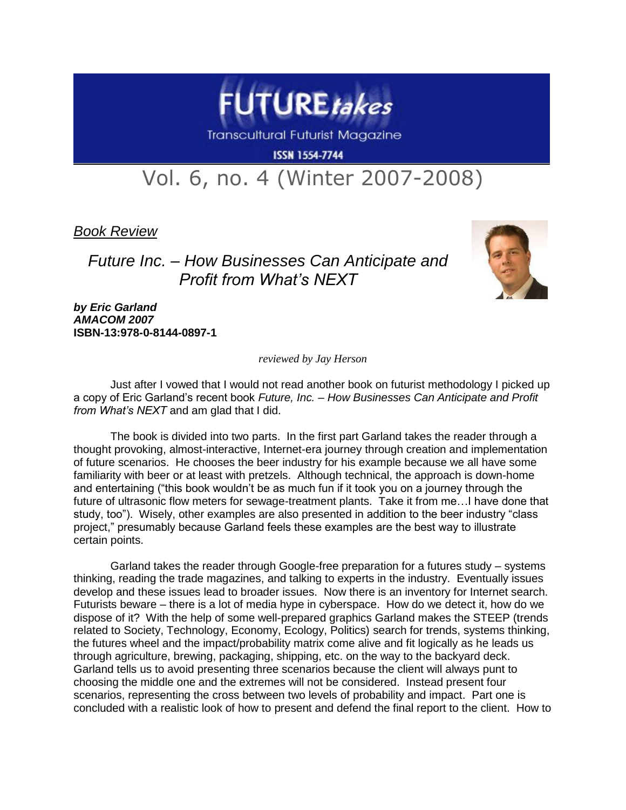

**Transcultural Futurist Magazine** 

**ISSN 1554-7744** 

## Vol. 6, no. 4 (Winter 2007-2008)

*Book Review*

## *Future Inc. – How Businesses Can Anticipate and Profit from What's NEXT*



*by Eric Garland AMACOM 2007* **ISBN-13:978-0-8144-0897-1**

*reviewed by Jay Herson*

Just after I vowed that I would not read another book on futurist methodology I picked up a copy of Eric Garland's recent book *Future, Inc. – How Businesses Can Anticipate and Profit from What's NEXT* and am glad that I did.

The book is divided into two parts. In the first part Garland takes the reader through a thought provoking, almost-interactive, Internet-era journey through creation and implementation of future scenarios. He chooses the beer industry for his example because we all have some familiarity with beer or at least with pretzels. Although technical, the approach is down-home and entertaining ("this book wouldn't be as much fun if it took you on a journey through the future of ultrasonic flow meters for sewage-treatment plants. Take it from me…I have done that study, too"). Wisely, other examples are also presented in addition to the beer industry "class project," presumably because Garland feels these examples are the best way to illustrate certain points.

Garland takes the reader through Google-free preparation for a futures study – systems thinking, reading the trade magazines, and talking to experts in the industry. Eventually issues develop and these issues lead to broader issues. Now there is an inventory for Internet search. Futurists beware – there is a lot of media hype in cyberspace. How do we detect it, how do we dispose of it? With the help of some well-prepared graphics Garland makes the STEEP (trends related to Society, Technology, Economy, Ecology, Politics) search for trends, systems thinking, the futures wheel and the impact/probability matrix come alive and fit logically as he leads us through agriculture, brewing, packaging, shipping, etc. on the way to the backyard deck. Garland tells us to avoid presenting three scenarios because the client will always punt to choosing the middle one and the extremes will not be considered. Instead present four scenarios, representing the cross between two levels of probability and impact. Part one is concluded with a realistic look of how to present and defend the final report to the client. How to